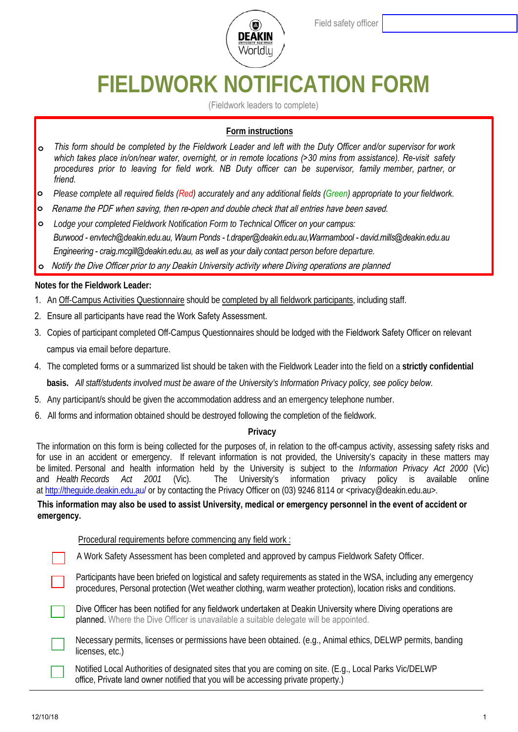

Field safety officer

# **FIELDWORK NOTIFICATION FORM**

(Fieldwork leaders to complete)

# **Form instructions**

- **o** This form should be completed by the Fieldwork Leader and left with the Duty Officer and/or supervisor for work which takes place in/on/near water, overnight, or in remote locations (>30 mins from assistance). Re-visit safety procedures prior to leaving for field work. NB Duty officer can be supervisor, family member, partner, or *friend.*
- **o** *Please complete all required fields (Red) accurately and any additional fields (Green) appropriate to your fieldwork.*
- **o** Rename the PDF when saving, then re-open and double check that all entries have been saved.
- *Lodge your completed Fieldwork Notification Form to Technical Officer on your campus: Burwood - envtech@deakin.edu.au, Waurn Ponds - t.draper@deakin.edu.au,Warrnambool - david.mills@deakin.edu.au Engineering - craig.mcgill@deakin.edu.au, as well as your daily contact person before departure.* **o**
- **o** Notify the Dive Officer prior to any Deakin University activity where Diving operations are planned

### **Notes for the Fieldwork Leader:**

- 1. An Off-Campus Activities Questionnaire should be completed by all fieldwork participants, including staff.
- 2. Ensure all participants have read the Work Safety Assessment.
- 3. Copies of participant completed Off-Campus Questionnaires should be lodged with the Fieldwork Safety Officer on relevant campus via email before departure.
- 4. The completed forms or a summarized list should be taken with the Fieldwork Leader into the field on a **strictly confidential**

**basis.** *All staff/students involved must be aware of the University's Information Privacy policy, see policy below.*

- 5. Any participant/s should be given the accommodation address and an emergency telephone number.
- 6. All forms and information obtained should be destroyed following the completion of the fieldwork.

#### **Privacy**

The information on this form is being collected for the purposes of, in relation to the off-campus activity, assessing safety risks and for use in an accident or emergency. If relevant information is not provided, the University's capacity in these matters may be limited. Personal and health information held by the University is subject to the *Information Privacy Act 2000* (Vic) and *Health Records Act 2001* (Vic). The University's information privacy policy is available online at http://theguide.deakin.edu.au/ or by contacting the Privacy Officer on (03) 9246 8114 or <privacy@deakin.edu.au>.

#### **This information may also be used to assist University, medical or emergency personnel in the event of accident or emergency.**

|  | Procedural requirements before commencing any field work:                                                                                                                                                                             |
|--|---------------------------------------------------------------------------------------------------------------------------------------------------------------------------------------------------------------------------------------|
|  | A Work Safety Assessment has been completed and approved by campus Fieldwork Safety Officer.                                                                                                                                          |
|  | Participants have been briefed on logistical and safety requirements as stated in the WSA, including any emergency<br>procedures, Personal protection (Wet weather clothing, warm weather protection), location risks and conditions. |
|  | Dive Officer has been notified for any fieldwork undertaken at Deakin University where Diving operations are<br>planned. Where the Dive Officer is unavailable a suitable delegate will be appointed.                                 |
|  | Necessary permits, licenses or permissions have been obtained. (e.g., Animal ethics, DELWP permits, banding<br>licenses, etc.)                                                                                                        |
|  | Notified Local Authorities of designated sites that you are coming on site. (E.g., Local Parks Vic/DELWP<br>office, Private land owner notified that you will be accessing private property.)                                         |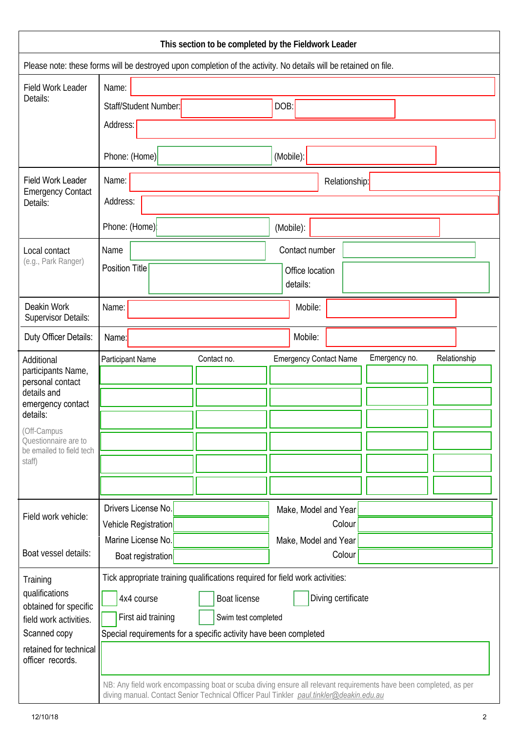| This section to be completed by the Fieldwork Leader                                                                                        |                                                                                                                                                                                                                                                   |  |  |  |
|---------------------------------------------------------------------------------------------------------------------------------------------|---------------------------------------------------------------------------------------------------------------------------------------------------------------------------------------------------------------------------------------------------|--|--|--|
| Please note: these forms will be destroyed upon completion of the activity. No details will be retained on file.                            |                                                                                                                                                                                                                                                   |  |  |  |
| <b>Field Work Leader</b><br>Details:                                                                                                        | Name:<br>DOB:<br>Staff/Student Number:<br>Address:                                                                                                                                                                                                |  |  |  |
|                                                                                                                                             | Phone: (Home)<br>(Mobile):                                                                                                                                                                                                                        |  |  |  |
| <b>Field Work Leader</b><br><b>Emergency Contact</b><br>Details:                                                                            | Name:<br>Relationship:<br>Address:                                                                                                                                                                                                                |  |  |  |
|                                                                                                                                             | Phone: (Home)<br>(Mobile):                                                                                                                                                                                                                        |  |  |  |
| Local contact<br>(e.g., Park Ranger)                                                                                                        | Contact number<br>Name<br><b>Position Title</b><br>Office location<br>details:                                                                                                                                                                    |  |  |  |
| Deakin Work<br><b>Supervisor Details:</b>                                                                                                   | Name:<br>Mobile:                                                                                                                                                                                                                                  |  |  |  |
| Duty Officer Details:                                                                                                                       | Mobile:<br>Name:                                                                                                                                                                                                                                  |  |  |  |
| Additional<br>participants Name,<br>personal contact<br>details and<br>emergency contact<br>details:                                        | Relationship<br>Emergency no.<br>Participant Name<br>Contact no.<br><b>Emergency Contact Name</b>                                                                                                                                                 |  |  |  |
| (Off-Campus<br>Questionnaire are to<br>be emailed to field tech<br>staff)                                                                   |                                                                                                                                                                                                                                                   |  |  |  |
| Field work vehicle:                                                                                                                         | Drivers License No.<br>Make, Model and Year<br>Colour<br>Vehicle Registration                                                                                                                                                                     |  |  |  |
| Boat vessel details:                                                                                                                        | Marine License No.<br>Make, Model and Year<br>Colour<br>Boat registration                                                                                                                                                                         |  |  |  |
| Training<br>qualifications<br>obtained for specific<br>field work activities.<br>Scanned copy<br>retained for technical<br>officer records. | Tick appropriate training qualifications required for field work activities:<br>Diving certificate<br>4x4 course<br>Boat license<br>First aid training<br>Swim test completed<br>Special requirements for a specific activity have been completed |  |  |  |
|                                                                                                                                             | NB: Any field work encompassing boat or scuba diving ensure all relevant requirements have been completed, as per<br>diving manual. Contact Senior Technical Officer Paul Tinkler paul.tinkler@deakin.edu.au                                      |  |  |  |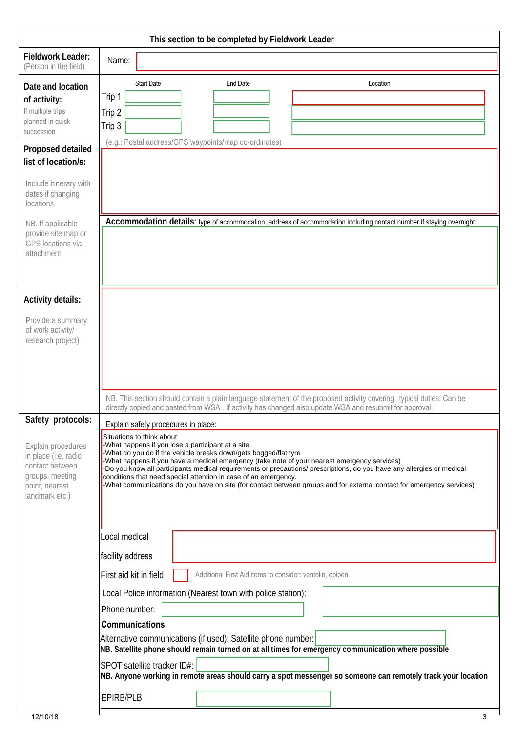| This section to be completed by Fieldwork Leader                                                                     |                                                                                                                                                                                                                                                                                                                                                                                                                                                                                                                                                                           |  |  |
|----------------------------------------------------------------------------------------------------------------------|---------------------------------------------------------------------------------------------------------------------------------------------------------------------------------------------------------------------------------------------------------------------------------------------------------------------------------------------------------------------------------------------------------------------------------------------------------------------------------------------------------------------------------------------------------------------------|--|--|
| <b>Fieldwork Leader:</b><br>(Person in the field)                                                                    | Name:                                                                                                                                                                                                                                                                                                                                                                                                                                                                                                                                                                     |  |  |
| Date and location<br>of activity:<br>If multiple trips<br>planned in quick<br>succession                             | <b>Start Date</b><br>End Date<br>Location<br>Trip 1<br>Trip 2<br>Trip 3                                                                                                                                                                                                                                                                                                                                                                                                                                                                                                   |  |  |
| Proposed detailed<br>list of location/s:                                                                             | (e.g.: Postal address/GPS waypoints/map co-ordinates)                                                                                                                                                                                                                                                                                                                                                                                                                                                                                                                     |  |  |
| Include itinerary with<br>dates if changing<br>locations                                                             |                                                                                                                                                                                                                                                                                                                                                                                                                                                                                                                                                                           |  |  |
| NB. If applicable<br>provide site map or<br>GPS locations via<br>attachment.                                         | Accommodation details: type of accommodation, address of accommodation including contact number if staying overnight:                                                                                                                                                                                                                                                                                                                                                                                                                                                     |  |  |
| <b>Activity details:</b>                                                                                             |                                                                                                                                                                                                                                                                                                                                                                                                                                                                                                                                                                           |  |  |
| Provide a summary<br>of work activity/<br>research project)                                                          |                                                                                                                                                                                                                                                                                                                                                                                                                                                                                                                                                                           |  |  |
|                                                                                                                      | NB. This section should contain a plain language statement of the proposed activity covering typical duties. Can be<br>directly copied and pasted from WSA. If activity has changed also update WSA and resubmit for approval.                                                                                                                                                                                                                                                                                                                                            |  |  |
| Safety protocols:                                                                                                    | Explain safety procedures in place:                                                                                                                                                                                                                                                                                                                                                                                                                                                                                                                                       |  |  |
| Explain procedures<br>in place (i.e. radio<br>contact between<br>groups, meeting<br>point, nearest<br>landmark etc.) | Situations to think about:<br>-What happens if you lose a participant at a site<br>-What do you do if the vehicle breaks down/gets bogged/flat tyre<br>-What happens if you have a medical emergency (take note of your nearest emergency services)<br>-Do you know all participants medical requirements or precautions/ prescriptions, do you have any allergies or medical<br>conditions that need special attention in case of an emergency.<br>-What communications do you have on site (for contact between groups and for external contact for emergency services) |  |  |
|                                                                                                                      | Local medical                                                                                                                                                                                                                                                                                                                                                                                                                                                                                                                                                             |  |  |
|                                                                                                                      | facility address                                                                                                                                                                                                                                                                                                                                                                                                                                                                                                                                                          |  |  |
|                                                                                                                      | Additional First Aid items to consider: ventolin, epipen<br>First aid kit in field                                                                                                                                                                                                                                                                                                                                                                                                                                                                                        |  |  |
|                                                                                                                      | Local Police information (Nearest town with police station):                                                                                                                                                                                                                                                                                                                                                                                                                                                                                                              |  |  |
|                                                                                                                      | Phone number:<br><b>Communications</b>                                                                                                                                                                                                                                                                                                                                                                                                                                                                                                                                    |  |  |
|                                                                                                                      | Alternative communications (if used): Satellite phone number:<br>NB. Satellite phone should remain turned on at all times for emergency communication where possible.                                                                                                                                                                                                                                                                                                                                                                                                     |  |  |
|                                                                                                                      | SPOT satellite tracker ID#:<br>NB. Anyone working in remote areas should carry a spot messenger so someone can remotely track your location                                                                                                                                                                                                                                                                                                                                                                                                                               |  |  |
|                                                                                                                      | <b>EPIRB/PLB</b>                                                                                                                                                                                                                                                                                                                                                                                                                                                                                                                                                          |  |  |

12/10/18 3